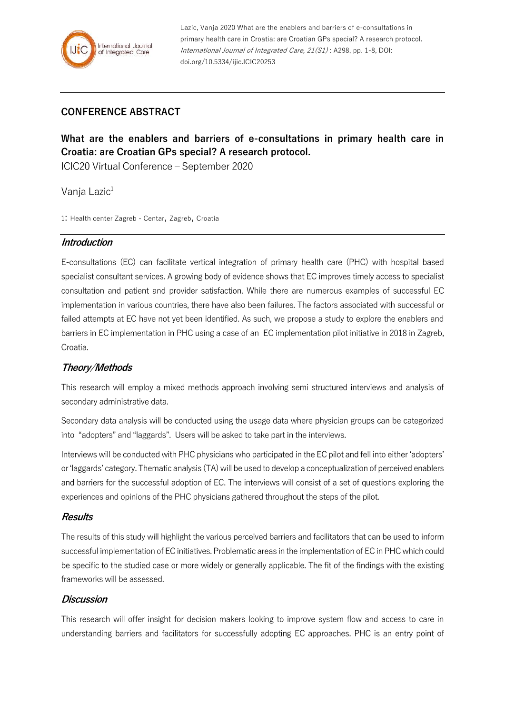

Lazic, Vanja 2020 What are the enablers and barriers of e-consultations in primary health care in Croatia: are Croatian GPs special? A research protocol. International Journal of Integrated Care, 21(S1) : A298, pp. 1-8, DOI: doi.org/10.5334/ijic.ICIC20253

# **CONFERENCE ABSTRACT**

# **What are the enablers and barriers of e-consultations in primary health care in Croatia: are Croatian GPs special? A research protocol.**

ICIC20 Virtual Conference – September 2020

Vanja Lazic<sup>1</sup>

1: Health center Zagreb - Centar, Zagreb, Croatia

#### **Introduction**

E-consultations (EC) can facilitate vertical integration of primary health care (PHC) with hospital based specialist consultant services. A growing body of evidence shows that EC improves timely access to specialist consultation and patient and provider satisfaction. While there are numerous examples of successful EC implementation in various countries, there have also been failures. The factors associated with successful or failed attempts at EC have not yet been identified. As such, we propose a study to explore the enablers and barriers in EC implementation in PHC using a case of an EC implementation pilot initiative in 2018 in Zagreb, Croatia.

## **Theory/Methods**

This research will employ a mixed methods approach involving semi structured interviews and analysis of secondary administrative data.

Secondary data analysis will be conducted using the usage data where physician groups can be categorized into "adopters" and "laggards". Users will be asked to take part in the interviews.

Interviews will be conducted with PHC physicians who participated in the EC pilot and fell into either 'adopters' or 'laggards' category. Thematic analysis (TA) will be used to develop a conceptualization of perceived enablers and barriers for the successful adoption of EC. The interviews will consist of a set of questions exploring the experiences and opinions of the PHC physicians gathered throughout the steps of the pilot.

### **Results**

The results of this study will highlight the various perceived barriers and facilitators that can be used to inform successful implementation of EC initiatives. Problematic areas in the implementation of EC in PHC which could be specific to the studied case or more widely or generally applicable. The fit of the findings with the existing frameworks will be assessed.

### **Discussion**

This research will offer insight for decision makers looking to improve system flow and access to care in understanding barriers and facilitators for successfully adopting EC approaches. PHC is an entry point of